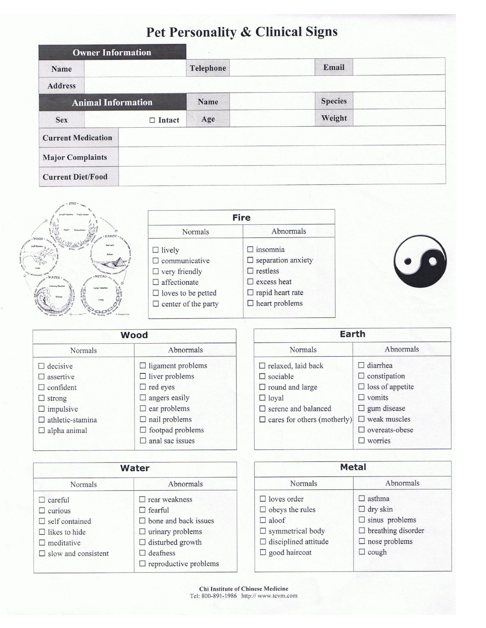## Pet Personality & Clinical Signs

|                           | <b>Owner Information</b> |           |                |  |
|---------------------------|--------------------------|-----------|----------------|--|
| Name                      |                          | Telephone | Email          |  |
| <b>Address</b>            |                          |           |                |  |
| <b>Animal Information</b> |                          | Name      | <b>Species</b> |  |
| <b>Sex</b>                | $\Box$ Intact            | Age       | Weight         |  |
| <b>Current Medication</b> |                          |           |                |  |
| <b>Major Complaints</b>   |                          |           |                |  |
| <b>Current Diet/Food</b>  |                          |           |                |  |



| <b>Fire</b>                |                           |  |  |  |
|----------------------------|---------------------------|--|--|--|
| Normals                    | Abnormals                 |  |  |  |
| $\Box$ lively              | $\Box$ insomnia           |  |  |  |
| $\Box$ communicative       | $\Box$ separation anxiety |  |  |  |
| $\Box$ very friendly       | $\Box$ restless           |  |  |  |
| $\Box$ affectionate        | $\square$ excess heat     |  |  |  |
| $\Box$ loves to be petted  | $\Box$ rapid heart rate   |  |  |  |
| $\Box$ center of the party | $\Box$ heart problems     |  |  |  |
|                            |                           |  |  |  |



Abnormals

 $\Box$ asthma  $\Box$ dry skin

 $\Box$ cough

 $\square$  sinus problems  $\Box$  breathing disorder  $\Box$  nose problems

|                            | Wood                      |             |
|----------------------------|---------------------------|-------------|
| Normals                    | Abnormals                 |             |
| $\Box$ decisive            | $\Box$ ligament problems  | □r          |
| $\square$ assertive        | $\Box$ liver problems     | $\square$ s |
| $\Box$ confident           | $\Box$ red eyes           | $\Box$ r    |
| $\Box$ strong              | $\Box$ angers easily      | $\Box$ l    |
| $\Box$ impulsive           | $\Box$ ear problems       | $\square$ s |
| $\square$ athletic-stamina | $\Box$ nail problems      | $\Box$ c    |
| $\Box$ alpha animal        | $\Box$ footpad problems   |             |
|                            | $\square$ anal sac issues |             |
|                            |                           |             |

| Earth                              |                         |  |  |
|------------------------------------|-------------------------|--|--|
| Normals                            | Abnormals               |  |  |
| $\Box$ relaxed, laid back          | $\Box$ diarrhea         |  |  |
| $\Box$ sociable                    | $\Box$ constipation     |  |  |
| $\Box$ round and large             | $\Box$ loss of appetite |  |  |
| $\Box$ loyal                       | $\Box$ vomits           |  |  |
| $\Box$ serene and balanced         | $\Box$ gum disease      |  |  |
| $\Box$ cares for others (motherly) | $\square$ weak muscles  |  |  |
|                                    | $\Box$ overeats-obese   |  |  |
|                                    | $\square$ worries       |  |  |

|                            | Water                        | <b>Metal</b>                |              |  |
|----------------------------|------------------------------|-----------------------------|--------------|--|
| Normals                    | Abnormals                    | Normals                     |              |  |
| $\Box$ careful             | $\Box$ rear weakness         | $\Box$ loves order          | $\mathbb{R}$ |  |
| $\Box$ curious             | $\Box$ fearful               | $\Box$ obeys the rules      | $\Box$       |  |
| $\Box$ self contained      | $\Box$ bone and back issues  | $\Box$ aloof                | $\Box$       |  |
| $\Box$ likes to hide       | $\Box$ urinary problems      | $\Box$ symmetrical body     | □            |  |
| $\Box$ meditative          | $\Box$ disturbed growth      | $\Box$ disciplined attitude | 口            |  |
| $\Box$ slow and consistent | $\Box$ deafness              | $\Box$ good haircoat        | □            |  |
|                            | $\Box$ reproductive problems |                             |              |  |